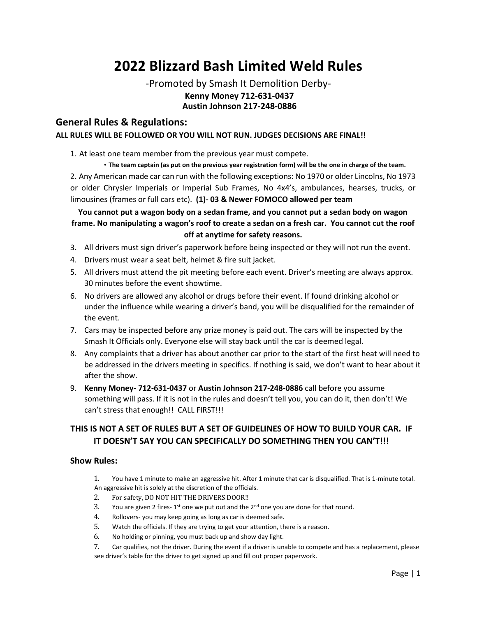# **2022 Blizzard Bash Limited Weld Rules**

### -Promoted by Smash It Demolition Derby-**Kenny Money 712-631-0437 Austin Johnson 217-248-0886**

#### **General Rules & Regulations: ALL RULES WILL BE FOLLOWED OR YOU WILL NOT RUN. JUDGES DECISIONS ARE FINAL!!**

1. At least one team member from the previous year must compete.

• **The team captain (as put on the previous year registration form) will be the one in charge of the team.**  2. Any American made car can run with the following exceptions: No 1970 or older Lincolns, No 1973 or older Chrysler Imperials or Imperial Sub Frames, No 4x4's, ambulances, hearses, trucks, or limousines (frames or full cars etc). **(1)- 03 & Newer FOMOCO allowed per team**

#### **You cannot put a wagon body on a sedan frame, and you cannot put a sedan body on wagon frame. No manipulating a wagon's roof to create a sedan on a fresh car. You cannot cut the roof off at anytime for safety reasons.**

- 3. All drivers must sign driver's paperwork before being inspected or they will not run the event.
- 4. Drivers must wear a seat belt, helmet & fire suit jacket.
- 5. All drivers must attend the pit meeting before each event. Driver's meeting are always approx. 30 minutes before the event showtime.
- 6. No drivers are allowed any alcohol or drugs before their event. If found drinking alcohol or under the influence while wearing a driver's band, you will be disqualified for the remainder of the event.
- 7. Cars may be inspected before any prize money is paid out. The cars will be inspected by the Smash It Officials only. Everyone else will stay back until the car is deemed legal.
- 8. Any complaints that a driver has about another car prior to the start of the first heat will need to be addressed in the drivers meeting in specifics. If nothing is said, we don't want to hear about it after the show.
- 9. **Kenny Money- 712-631-0437** or **Austin Johnson 217-248-0886** call before you assume something will pass. If it is not in the rules and doesn't tell you, you can do it, then don't! We can't stress that enough!! CALL FIRST!!!

### **THIS IS NOT A SET OF RULES BUT A SET OF GUIDELINES OF HOW TO BUILD YOUR CAR. IF IT DOESN'T SAY YOU CAN SPECIFICALLY DO SOMETHING THEN YOU CAN'T!!!**

#### **Show Rules:**

- 1. You have 1 minute to make an aggressive hit. After 1 minute that car is disqualified. That is 1-minute total. An aggressive hit is solely at the discretion of the officials.
- 2. For safety, DO NOT HIT THE DRIVERS DOOR!!
- 3. You are given 2 fires-1<sup>st</sup> one we put out and the  $2^{nd}$  one you are done for that round.
- 4. Rollovers- you may keep going as long as car is deemed safe.
- 5. Watch the officials. If they are trying to get your attention, there is a reason.
- 6. No holding or pinning, you must back up and show day light.
- 7. Car qualifies, not the driver. During the event if a driver is unable to compete and has a replacement, please see driver's table for the driver to get signed up and fill out proper paperwork.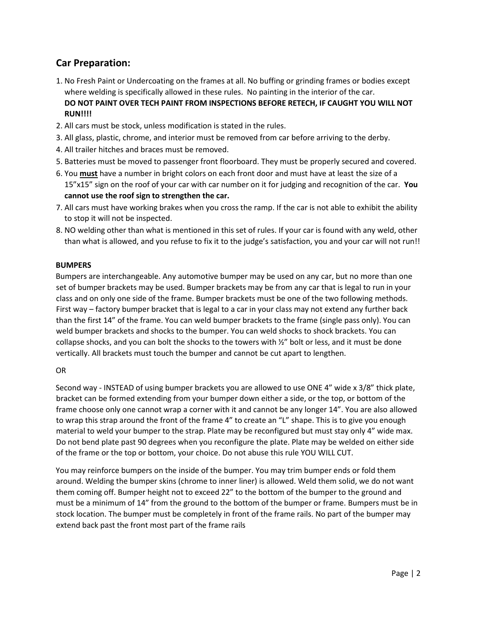# **Car Preparation:**

- 1. No Fresh Paint or Undercoating on the frames at all. No buffing or grinding frames or bodies except where welding is specifically allowed in these rules. No painting in the interior of the car. **DO NOT PAINT OVER TECH PAINT FROM INSPECTIONS BEFORE RETECH, IF CAUGHT YOU WILL NOT RUN!!!!**
- 2. All cars must be stock, unless modification is stated in the rules.
- 3. All glass, plastic, chrome, and interior must be removed from car before arriving to the derby.
- 4. All trailer hitches and braces must be removed.
- 5. Batteries must be moved to passenger front floorboard. They must be properly secured and covered.
- 6. You **must** have a number in bright colors on each front door and must have at least the size of a 15"x15" sign on the roof of your car with car number on it for judging and recognition of the car. **You cannot use the roof sign to strengthen the car.**
- 7. All cars must have working brakes when you cross the ramp. If the car is not able to exhibit the ability to stop it will not be inspected.
- 8. NO welding other than what is mentioned in this set of rules. If your car is found with any weld, other than what is allowed, and you refuse to fix it to the judge's satisfaction, you and your car will not run!!

#### **BUMPERS**

Bumpers are interchangeable. Any automotive bumper may be used on any car, but no more than one set of bumper brackets may be used. Bumper brackets may be from any car that is legal to run in your class and on only one side of the frame. Bumper brackets must be one of the two following methods. First way – factory bumper bracket that is legal to a car in your class may not extend any further back than the first 14" of the frame. You can weld bumper brackets to the frame (single pass only). You can weld bumper brackets and shocks to the bumper. You can weld shocks to shock brackets. You can collapse shocks, and you can bolt the shocks to the towers with  $\frac{y}{z}$  bolt or less, and it must be done vertically. All brackets must touch the bumper and cannot be cut apart to lengthen.

#### OR

Second way - INSTEAD of using bumper brackets you are allowed to use ONE 4" wide x 3/8" thick plate, bracket can be formed extending from your bumper down either a side, or the top, or bottom of the frame choose only one cannot wrap a corner with it and cannot be any longer 14". You are also allowed to wrap this strap around the front of the frame 4" to create an "L" shape. This is to give you enough material to weld your bumper to the strap. Plate may be reconfigured but must stay only 4" wide max. Do not bend plate past 90 degrees when you reconfigure the plate. Plate may be welded on either side of the frame or the top or bottom, your choice. Do not abuse this rule YOU WILL CUT.

You may reinforce bumpers on the inside of the bumper. You may trim bumper ends or fold them around. Welding the bumper skins (chrome to inner liner) is allowed. Weld them solid, we do not want them coming off. Bumper height not to exceed 22" to the bottom of the bumper to the ground and must be a minimum of 14" from the ground to the bottom of the bumper or frame. Bumpers must be in stock location. The bumper must be completely in front of the frame rails. No part of the bumper may extend back past the front most part of the frame rails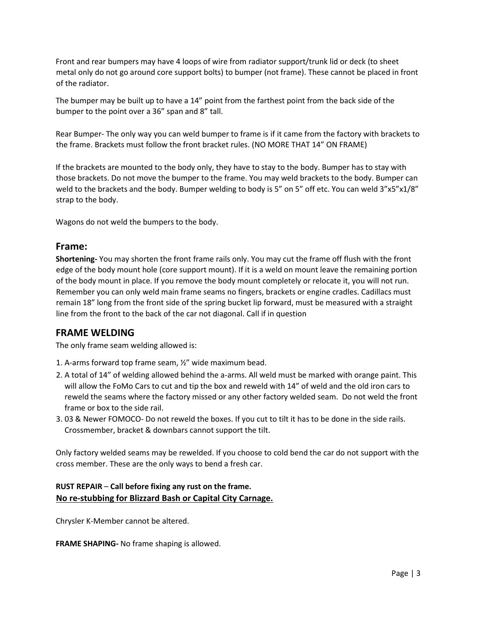Front and rear bumpers may have 4 loops of wire from radiator support/trunk lid or deck (to sheet metal only do not go around core support bolts) to bumper (not frame). These cannot be placed in front of the radiator.

The bumper may be built up to have a 14" point from the farthest point from the back side of the bumper to the point over a 36" span and 8" tall.

Rear Bumper- The only way you can weld bumper to frame is if it came from the factory with brackets to the frame. Brackets must follow the front bracket rules. (NO MORE THAT 14" ON FRAME)

If the brackets are mounted to the body only, they have to stay to the body. Bumper has to stay with those brackets. Do not move the bumper to the frame. You may weld brackets to the body. Bumper can weld to the brackets and the body. Bumper welding to body is 5" on 5" off etc. You can weld 3"x5"x1/8" strap to the body.

Wagons do not weld the bumpers to the body.

#### **Frame:**

**Shortening-** You may shorten the front frame rails only. You may cut the frame off flush with the front edge of the body mount hole (core support mount). If it is a weld on mount leave the remaining portion of the body mount in place. If you remove the body mount completely or relocate it, you will not run. Remember you can only weld main frame seams no fingers, brackets or engine cradles. Cadillacs must remain 18" long from the front side of the spring bucket lip forward, must be measured with a straight line from the front to the back of the car not diagonal. Call if in question

#### **FRAME WELDING**

The only frame seam welding allowed is:

- 1. A-arms forward top frame seam, ½" wide maximum bead.
- 2. A total of 14" of welding allowed behind the a-arms. All weld must be marked with orange paint. This will allow the FoMo Cars to cut and tip the box and reweld with 14" of weld and the old iron cars to reweld the seams where the factory missed or any other factory welded seam. Do not weld the front frame or box to the side rail.
- 3. 03 & Newer FOMOCO- Do not reweld the boxes. If you cut to tilt it has to be done in the side rails. Crossmember, bracket & downbars cannot support the tilt.

Only factory welded seams may be rewelded. If you choose to cold bend the car do not support with the cross member. These are the only ways to bend a fresh car.

#### **RUST REPAIR** – **Call before fixing any rust on the frame. No re-stubbing for Blizzard Bash or Capital City Carnage.**

Chrysler K-Member cannot be altered.

**FRAME SHAPING-** No frame shaping is allowed.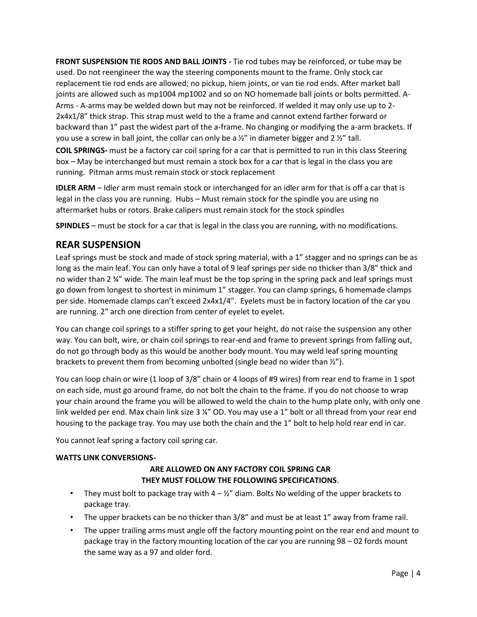**FRONT SUSPENSION TIE RODS AND BALL JOINTS -** Tie rod tubes may be reinforced, or tube may be used. Do not reengineer the way the steering components mount to the frame. Only stock car replacement tie rod ends are allowed; no pickup, hiem joints, or van tie rod ends. After market ball joints are allowed such as mp1004 mp1002 and so on NO homemade ball joints or bolts permitted. A-Arms - A-arms may be welded down but may not be reinforced. If welded it may only use up to 2- 2x4x1/8" thick strap. This strap must weld to the a frame and cannot extend farther forward or backward than 1" past the widest part of the a-frame. No changing or modifying the a-arm brackets. If you use a screw in ball joint, the collar can only be a  $\frac{1}{2}$ " in diameter bigger and 2  $\frac{1}{2}$ " tall.

**COIL SPRINGS-** must be a factory car coil spring for a car that is permitted to run in this class Steering box – May be interchanged but must remain a stock box for a car that is legal in the class you are running. Pitman arms must remain stock or stock replacement

**IDLER ARM** – Idler arm must remain stock or interchanged for an idler arm for that is off a car that is legal in the class you are running. Hubs – Must remain stock for the spindle you are using no aftermarket hubs or rotors. Brake calipers must remain stock for the stock spindles

**SPINDLES** – must be stock for a car that is legal in the class you are running, with no modifications.

### **REAR SUSPENSION**

Leaf springs must be stock and made of stock spring material, with a 1" stagger and no springs can be as long as the main leaf. You can only have a total of 9 leaf springs per side no thicker than 3/8" thick and no wider than 2  $\frac{3}{4}$ " wide. The main leaf must be the top spring in the spring pack and leaf springs must go down from longest to shortest in minimum 1" stagger. You can clamp springs, 6 homemade clamps per side. Homemade clamps can't exceed 2x4x1/4". Eyelets must be in factory location of the car you are running. 2" arch one direction from center of eyelet to eyelet.

You can change coil springs to a stiffer spring to get your height, do not raise the suspension any other way. You can bolt, wire, or chain coil springs to rear-end and frame to prevent springs from falling out, do not go through body as this would be another body mount. You may weld leaf spring mounting brackets to prevent them from becoming unbolted (single bead no wider than ½").

You can loop chain or wire (1 loop of 3/8" chain or 4 loops of #9 wires) from rear end to frame in 1 spot on each side, must go around frame, do not bolt the chain to the frame. If you do not choose to wrap your chain around the frame you will be allowed to weld the chain to the hump plate only, with only one link welded per end. Max chain link size 3 ¼" OD. You may use a 1" bolt or all thread from your rear end housing to the package tray. You may use both the chain and the 1" bolt to help hold rear end in car.

You cannot leaf spring a factory coil spring car.

#### **WATTS LINK CONVERSIONS-**

#### **ARE ALLOWED ON ANY FACTORY COIL SPRING CAR THEY MUST FOLLOW THE FOLLOWING SPECIFICATIONS**.

- They must bolt to package tray with  $4 \frac{1}{2}$  diam. Bolts No welding of the upper brackets to package tray.
- The upper brackets can be no thicker than 3/8" and must be at least 1" away from frame rail.
- The upper trailing arms must angle off the factory mounting point on the rear end and mount to package tray in the factory mounting location of the car you are running 98 – 02 fords mount the same way as a 97 and older ford.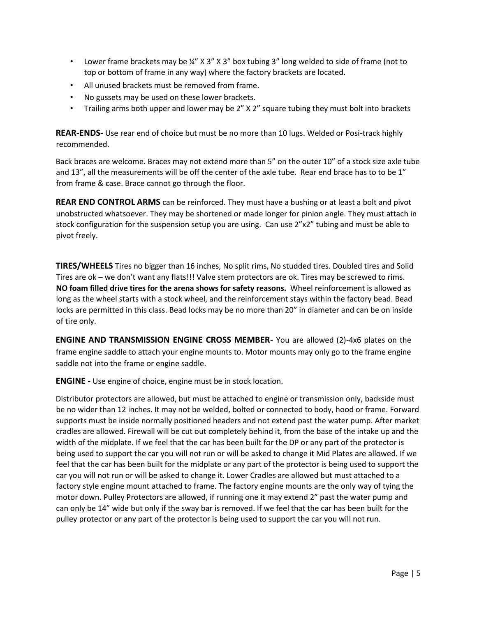- Lower frame brackets may be  $\frac{1}{4}$ " X 3" X 3" box tubing 3" long welded to side of frame (not to top or bottom of frame in any way) where the factory brackets are located.
- All unused brackets must be removed from frame.
- No gussets may be used on these lower brackets.
- Trailing arms both upper and lower may be 2" X 2" square tubing they must bolt into brackets

**REAR-ENDS-** Use rear end of choice but must be no more than 10 lugs. Welded or Posi-track highly recommended.

Back braces are welcome. Braces may not extend more than 5" on the outer 10" of a stock size axle tube and 13", all the measurements will be off the center of the axle tube. Rear end brace has to to be 1" from frame & case. Brace cannot go through the floor.

**REAR END CONTROL ARMS** can be reinforced. They must have a bushing or at least a bolt and pivot unobstructed whatsoever. They may be shortened or made longer for pinion angle. They must attach in stock configuration for the suspension setup you are using. Can use 2"x2" tubing and must be able to pivot freely.

**TIRES/WHEELS** Tires no bigger than 16 inches, No split rims, No studded tires. Doubled tires and Solid Tires are ok – we don't want any flats!!! Valve stem protectors are ok. Tires may be screwed to rims. **NO foam filled drive tires for the arena shows for safety reasons.** Wheel reinforcement is allowed as long as the wheel starts with a stock wheel, and the reinforcement stays within the factory bead. Bead locks are permitted in this class. Bead locks may be no more than 20" in diameter and can be on inside of tire only.

**ENGINE AND TRANSMISSION ENGINE CROSS MEMBER-** You are allowed (2)-4x6 plates on the frame engine saddle to attach your engine mounts to. Motor mounts may only go to the frame engine saddle not into the frame or engine saddle.

**ENGINE -** Use engine of choice, engine must be in stock location.

Distributor protectors are allowed, but must be attached to engine or transmission only, backside must be no wider than 12 inches. It may not be welded, bolted or connected to body, hood or frame. Forward supports must be inside normally positioned headers and not extend past the water pump. After market cradles are allowed. Firewall will be cut out completely behind it, from the base of the intake up and the width of the midplate. If we feel that the car has been built for the DP or any part of the protector is being used to support the car you will not run or will be asked to change it Mid Plates are allowed. If we feel that the car has been built for the midplate or any part of the protector is being used to support the car you will not run or will be asked to change it. Lower Cradles are allowed but must attached to a factory style engine mount attached to frame. The factory engine mounts are the only way of tying the motor down. Pulley Protectors are allowed, if running one it may extend 2" past the water pump and can only be 14" wide but only if the sway bar is removed. If we feel that the car has been built for the pulley protector or any part of the protector is being used to support the car you will not run.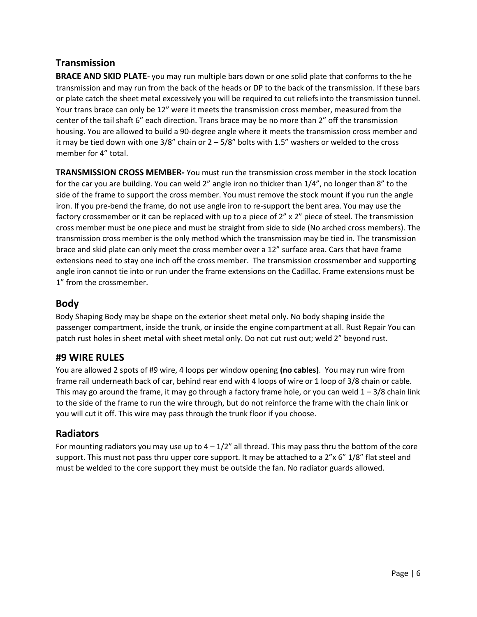# **Transmission**

**BRACE AND SKID PLATE-** you may run multiple bars down or one solid plate that conforms to the he transmission and may run from the back of the heads or DP to the back of the transmission. If these bars or plate catch the sheet metal excessively you will be required to cut reliefs into the transmission tunnel. Your trans brace can only be 12" were it meets the transmission cross member, measured from the center of the tail shaft 6" each direction. Trans brace may be no more than 2" off the transmission housing. You are allowed to build a 90-degree angle where it meets the transmission cross member and it may be tied down with one  $3/8$ " chain or  $2 - 5/8$ " bolts with 1.5" washers or welded to the cross member for 4" total.

**TRANSMISSION CROSS MEMBER-** You must run the transmission cross member in the stock location for the car you are building. You can weld 2" angle iron no thicker than 1/4", no longer than 8" to the side of the frame to support the cross member. You must remove the stock mount if you run the angle iron. If you pre-bend the frame, do not use angle iron to re-support the bent area. You may use the factory crossmember or it can be replaced with up to a piece of 2" x 2" piece of steel. The transmission cross member must be one piece and must be straight from side to side (No arched cross members). The transmission cross member is the only method which the transmission may be tied in. The transmission brace and skid plate can only meet the cross member over a 12" surface area. Cars that have frame extensions need to stay one inch off the cross member. The transmission crossmember and supporting angle iron cannot tie into or run under the frame extensions on the Cadillac. Frame extensions must be 1" from the crossmember.

### **Body**

Body Shaping Body may be shape on the exterior sheet metal only. No body shaping inside the passenger compartment, inside the trunk, or inside the engine compartment at all. Rust Repair You can patch rust holes in sheet metal with sheet metal only. Do not cut rust out; weld 2" beyond rust.

### **#9 WIRE RULES**

You are allowed 2 spots of #9 wire, 4 loops per window opening **(no cables)**. You may run wire from frame rail underneath back of car, behind rear end with 4 loops of wire or 1 loop of 3/8 chain or cable. This may go around the frame, it may go through a factory frame hole, or you can weld  $1 - 3/8$  chain link to the side of the frame to run the wire through, but do not reinforce the frame with the chain link or you will cut it off. This wire may pass through the trunk floor if you choose.

### **Radiators**

For mounting radiators you may use up to  $4 - 1/2$ " all thread. This may pass thru the bottom of the core support. This must not pass thru upper core support. It may be attached to a 2"x 6" 1/8" flat steel and must be welded to the core support they must be outside the fan. No radiator guards allowed.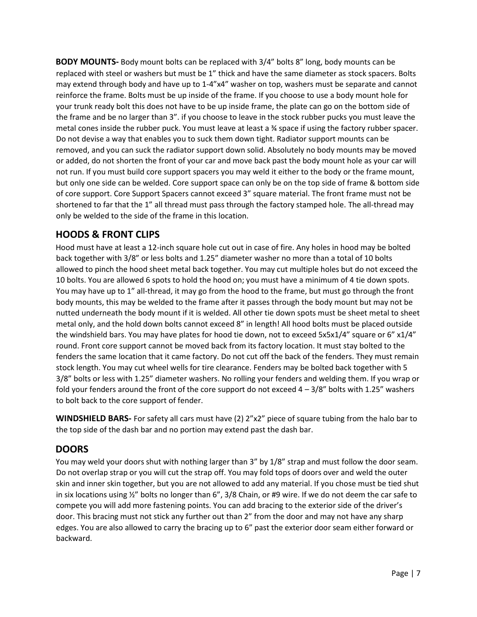**BODY MOUNTS-** Body mount bolts can be replaced with 3/4" bolts 8" long, body mounts can be replaced with steel or washers but must be 1" thick and have the same diameter as stock spacers. Bolts may extend through body and have up to 1-4"x4" washer on top, washers must be separate and cannot reinforce the frame. Bolts must be up inside of the frame. If you choose to use a body mount hole for your trunk ready bolt this does not have to be up inside frame, the plate can go on the bottom side of the frame and be no larger than 3". if you choose to leave in the stock rubber pucks you must leave the metal cones inside the rubber puck. You must leave at least a ¾ space if using the factory rubber spacer. Do not devise a way that enables you to suck them down tight. Radiator support mounts can be removed, and you can suck the radiator support down solid. Absolutely no body mounts may be moved or added, do not shorten the front of your car and move back past the body mount hole as your car will not run. If you must build core support spacers you may weld it either to the body or the frame mount, but only one side can be welded. Core support space can only be on the top side of frame & bottom side of core support. Core Support Spacers cannot exceed 3" square material. The front frame must not be shortened to far that the 1" all thread must pass through the factory stamped hole. The all-thread may only be welded to the side of the frame in this location.

## **HOODS & FRONT CLIPS**

Hood must have at least a 12-inch square hole cut out in case of fire. Any holes in hood may be bolted back together with 3/8" or less bolts and 1.25" diameter washer no more than a total of 10 bolts allowed to pinch the hood sheet metal back together. You may cut multiple holes but do not exceed the 10 bolts. You are allowed 6 spots to hold the hood on; you must have a minimum of 4 tie down spots. You may have up to 1" all-thread, it may go from the hood to the frame, but must go through the front body mounts, this may be welded to the frame after it passes through the body mount but may not be nutted underneath the body mount if it is welded. All other tie down spots must be sheet metal to sheet metal only, and the hold down bolts cannot exceed 8" in length! All hood bolts must be placed outside the windshield bars. You may have plates for hood tie down, not to exceed 5x5x1/4" square or 6" x1/4" round. Front core support cannot be moved back from its factory location. It must stay bolted to the fenders the same location that it came factory. Do not cut off the back of the fenders. They must remain stock length. You may cut wheel wells for tire clearance. Fenders may be bolted back together with 5 3/8" bolts or less with 1.25" diameter washers. No rolling your fenders and welding them. If you wrap or fold your fenders around the front of the core support do not exceed  $4 - 3/8$ " bolts with 1.25" washers to bolt back to the core support of fender.

**WINDSHIELD BARS-** For safety all cars must have (2) 2"x2" piece of square tubing from the halo bar to the top side of the dash bar and no portion may extend past the dash bar.

### **DOORS**

You may weld your doors shut with nothing larger than 3" by 1/8" strap and must follow the door seam. Do not overlap strap or you will cut the strap off. You may fold tops of doors over and weld the outer skin and inner skin together, but you are not allowed to add any material. If you chose must be tied shut in six locations using ½" bolts no longer than 6", 3/8 Chain, or #9 wire. If we do not deem the car safe to compete you will add more fastening points. You can add bracing to the exterior side of the driver's door. This bracing must not stick any further out than 2" from the door and may not have any sharp edges. You are also allowed to carry the bracing up to 6" past the exterior door seam either forward or backward.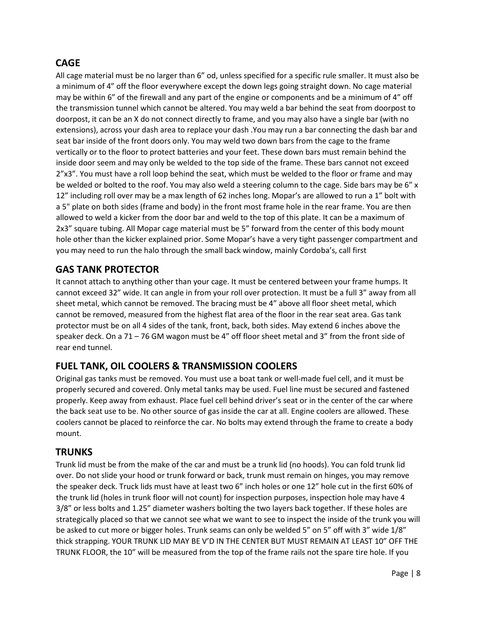# **CAGE**

All cage material must be no larger than 6" od, unless specified for a specific rule smaller. It must also be a minimum of 4" off the floor everywhere except the down legs going straight down. No cage material may be within 6" of the firewall and any part of the engine or components and be a minimum of 4" off the transmission tunnel which cannot be altered. You may weld a bar behind the seat from doorpost to doorpost, it can be an X do not connect directly to frame, and you may also have a single bar (with no extensions), across your dash area to replace your dash .You may run a bar connecting the dash bar and seat bar inside of the front doors only. You may weld two down bars from the cage to the frame vertically or to the floor to protect batteries and your feet. These down bars must remain behind the inside door seem and may only be welded to the top side of the frame. These bars cannot not exceed 2"x3". You must have a roll loop behind the seat, which must be welded to the floor or frame and may be welded or bolted to the roof. You may also weld a steering column to the cage. Side bars may be 6" x 12" including roll over may be a max length of 62 inches long. Mopar's are allowed to run a 1" bolt with a 5" plate on both sides (frame and body) in the front most frame hole in the rear frame. You are then allowed to weld a kicker from the door bar and weld to the top of this plate. It can be a maximum of 2x3" square tubing. All Mopar cage material must be 5" forward from the center of this body mount hole other than the kicker explained prior. Some Mopar's have a very tight passenger compartment and you may need to run the halo through the small back window, mainly Cordoba's, call first

## **GAS TANK PROTECTOR**

It cannot attach to anything other than your cage. It must be centered between your frame humps. It cannot exceed 32" wide. It can angle in from your roll over protection. It must be a full 3" away from all sheet metal, which cannot be removed. The bracing must be 4" above all floor sheet metal, which cannot be removed, measured from the highest flat area of the floor in the rear seat area. Gas tank protector must be on all 4 sides of the tank, front, back, both sides. May extend 6 inches above the speaker deck. On a 71 – 76 GM wagon must be 4" off floor sheet metal and 3" from the front side of rear end tunnel.

# **FUEL TANK, OIL COOLERS & TRANSMISSION COOLERS**

Original gas tanks must be removed. You must use a boat tank or well-made fuel cell, and it must be properly secured and covered. Only metal tanks may be used. Fuel line must be secured and fastened properly. Keep away from exhaust. Place fuel cell behind driver's seat or in the center of the car where the back seat use to be. No other source of gas inside the car at all. Engine coolers are allowed. These coolers cannot be placed to reinforce the car. No bolts may extend through the frame to create a body mount.

### **TRUNKS**

Trunk lid must be from the make of the car and must be a trunk lid (no hoods). You can fold trunk lid over. Do not slide your hood or trunk forward or back, trunk must remain on hinges, you may remove the speaker deck. Truck lids must have at least two 6" inch holes or one 12" hole cut in the first 60% of the trunk lid (holes in trunk floor will not count) for inspection purposes, inspection hole may have 4 3/8" or less bolts and 1.25" diameter washers bolting the two layers back together. If these holes are strategically placed so that we cannot see what we want to see to inspect the inside of the trunk you will be asked to cut more or bigger holes. Trunk seams can only be welded 5" on 5" off with 3" wide 1/8" thick strapping. YOUR TRUNK LID MAY BE V'D IN THE CENTER BUT MUST REMAIN AT LEAST 10" OFF THE TRUNK FLOOR, the 10" will be measured from the top of the frame rails not the spare tire hole. If you